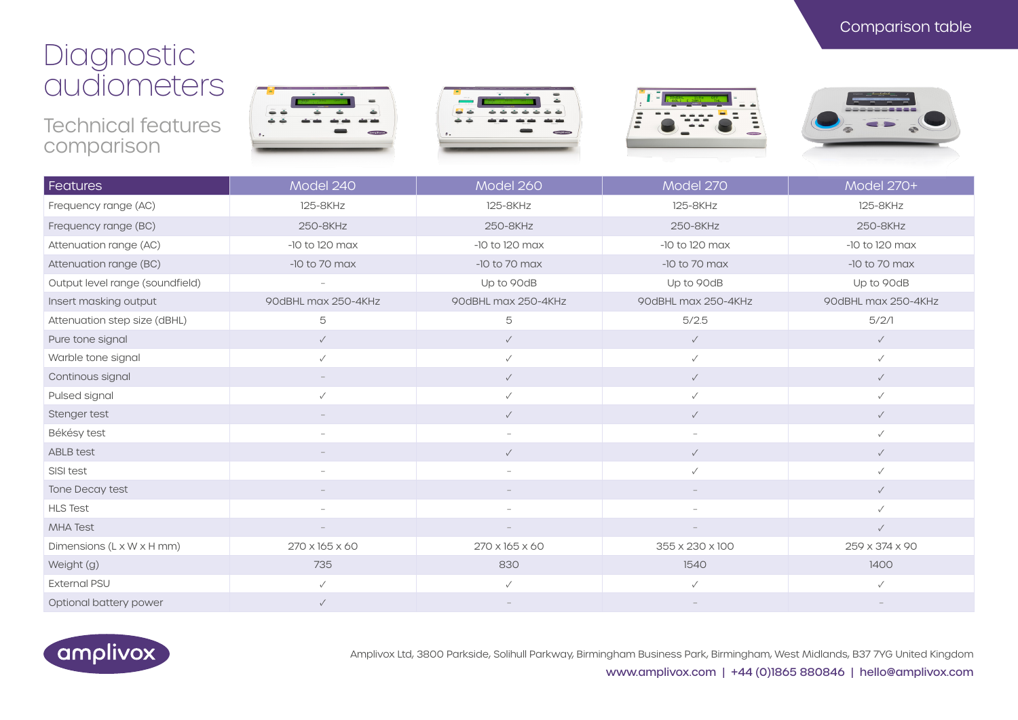## Diagnostic audiometers

Technical features comparison









| Features                        | Model 240                | Model 260                | Model 270                | Model 270+          |
|---------------------------------|--------------------------|--------------------------|--------------------------|---------------------|
| Frequency range (AC)            | 125-8KHz                 | 125-8KHz                 | 125-8KHz                 | 125-8KHz            |
| Frequency range (BC)            | 250-8KHz                 | 250-8KHz                 | 250-8KHz                 | 250-8KHz            |
| Attenuation range (AC)          | -10 to 120 max           | $-10$ to $120$ max       | $-10$ to $120$ max       | -10 to 120 max      |
| Attenuation range (BC)          | $-10$ to 70 max          | $-10$ to 70 max          | $-10$ to 70 max          | $-10$ to 70 max     |
| Output level range (soundfield) |                          | Up to 90dB               | Up to 90dB               | Up to 90dB          |
| Insert masking output           | 90dBHL max 250-4KHz      | 90dBHL max 250-4KHz      | 90dBHL max 250-4KHz      | 90dBHL max 250-4KHz |
| Attenuation step size (dBHL)    | 5                        | 5                        | 5/2.5                    | 5/2/1               |
| Pure tone signal                | $\checkmark$             | $\checkmark$             | $\checkmark$             | $\checkmark$        |
| Warble tone signal              | $\checkmark$             | $\checkmark$             | $\checkmark$             | $\checkmark$        |
| Continous signal                |                          | $\checkmark$             | $\checkmark$             | $\checkmark$        |
| Pulsed signal                   | $\checkmark$             | $\checkmark$             | $\checkmark$             | $\checkmark$        |
| Stenger test                    |                          | $\checkmark$             | $\checkmark$             | $\checkmark$        |
| Békésy test                     | $\overline{\phantom{a}}$ | $\overline{\phantom{a}}$ | $\overline{\phantom{a}}$ | $\checkmark$        |
| <b>ABLB</b> test                |                          | $\checkmark$             | $\checkmark$             | $\checkmark$        |
| SISI test                       |                          |                          | $\checkmark$             |                     |
| Tone Decay test                 |                          |                          |                          | $\checkmark$        |
| <b>HLS Test</b>                 |                          |                          |                          | $\checkmark$        |
| <b>MHA Test</b>                 |                          |                          |                          | $\checkmark$        |
| Dimensions (L x W x H mm)       | 270 x 165 x 60           | 270 x 165 x 60           | 355 x 230 x 100          | 259 x 374 x 90      |
| Weight (g)                      | 735                      | 830                      | 1540                     | 1400                |
| <b>External PSU</b>             | $\checkmark$             | $\checkmark$             | $\checkmark$             | $\checkmark$        |
| Optional battery power          | $\checkmark$             |                          |                          |                     |



Amplivox Ltd, 3800 Parkside, Solihull Parkway, Birmingham Business Park, Birmingham, West Midlands, B37 7YG United Kingdom www.amplivox.com | +44 (0)1865 880846 | hello@amplivox.com